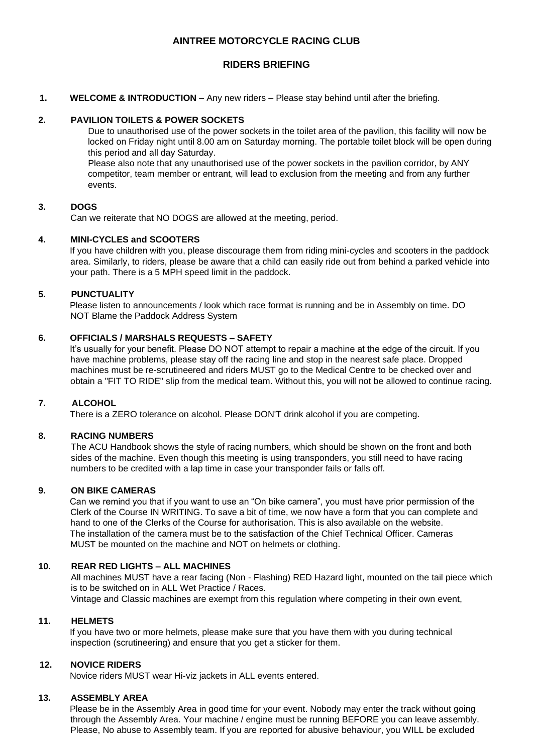# **AINTREE MOTORCYCLE RACING CLUB**

## **RIDERS BRIEFING**

### **1. WELCOME & INTRODUCTION** – Any new riders – Please stay behind until after the briefing.

### **2. PAVILION TOILETS & POWER SOCKETS**

Due to unauthorised use of the power sockets in the toilet area of the pavilion, this facility will now be locked on Friday night until 8.00 am on Saturday morning. The portable toilet block will be open during this period and all day Saturday.

Please also note that any unauthorised use of the power sockets in the pavilion corridor, by ANY competitor, team member or entrant, will lead to exclusion from the meeting and from any further events.

### **3. DOGS**

Can we reiterate that NO DOGS are allowed at the meeting, period.

## **4. MINI-CYCLES and SCOOTERS**

If you have children with you, please discourage them from riding mini-cycles and scooters in the paddock area. Similarly, to riders, please be aware that a child can easily ride out from behind a parked vehicle into your path. There is a 5 MPH speed limit in the paddock.

### **5. PUNCTUALITY**

Please listen to announcements / look which race format is running and be in Assembly on time. DO NOT Blame the Paddock Address System

### **6. OFFICIALS / MARSHALS REQUESTS – SAFETY**

It's usually for your benefit. Please DO NOT attempt to repair a machine at the edge of the circuit. If you have machine problems, please stay off the racing line and stop in the nearest safe place. Dropped machines must be re-scrutineered and riders MUST go to the Medical Centre to be checked over and obtain a "FIT TO RIDE" slip from the medical team. Without this, you will not be allowed to continue racing.

## **7. ALCOHOL**

There is a ZERO tolerance on alcohol. Please DON'T drink alcohol if you are competing.

#### **8. RACING NUMBERS**

The ACU Handbook shows the style of racing numbers, which should be shown on the front and both sides of the machine. Even though this meeting is using transponders, you still need to have racing numbers to be credited with a lap time in case your transponder fails or falls off.

#### **9. ON BIKE CAMERAS**

Can we remind you that if you want to use an "On bike camera", you must have prior permission of the Clerk of the Course IN WRITING. To save a bit of time, we now have a form that you can complete and hand to one of the Clerks of the Course for authorisation. This is also available on the website. The installation of the camera must be to the satisfaction of the Chief Technical Officer. Cameras MUST be mounted on the machine and NOT on helmets or clothing.

# **10. REAR RED LIGHTS – ALL MACHINES**

All machines MUST have a rear facing (Non - Flashing) RED Hazard light, mounted on the tail piece which is to be switched on in ALL Wet Practice / Races. Vintage and Classic machines are exempt from this regulation where competing in their own event,

### **11. HELMETS**

If you have two or more helmets, please make sure that you have them with you during technical inspection (scrutineering) and ensure that you get a sticker for them.

#### **12. NOVICE RIDERS**

Novice riders MUST wear Hi-viz jackets in ALL events entered.

#### **13. ASSEMBLY AREA**

Please be in the Assembly Area in good time for your event. Nobody may enter the track without going through the Assembly Area. Your machine / engine must be running BEFORE you can leave assembly. Please, No abuse to Assembly team. If you are reported for abusive behaviour, you WILL be excluded